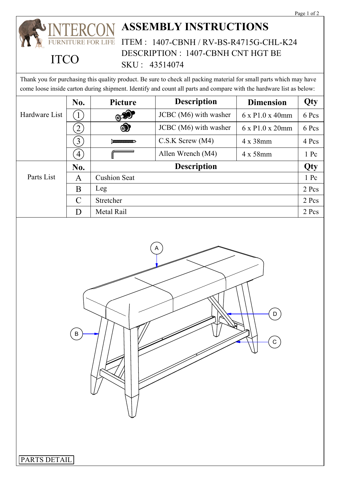## **ASSEMBLY INSTRUCTIONS RE FOR LIFE** ITEM : 1407-CBNH / RV-BS-R4715G-CHL-K24 DESCRIPTION : 1407-CBNH CNT HGT BE

## **ITCO**

Thank you for purchasing this quality product. Be sure to check all packing material for small parts which may have come loose inside carton during shipment. Identify and count all parts and compare with the hardware list as below:

SKU : 43514074

|               | No.              | Picture             | <b>Description</b>    | <b>Dimension</b>             | Qty   |
|---------------|------------------|---------------------|-----------------------|------------------------------|-------|
| Hardware List |                  | $\circledcirc$      | JCBC (M6) with washer | $6 \times P1.0 \times 40$ mm | 6 Pcs |
|               | $\overline{2}$   | $\circledast$       | JCBC (M6) with washer | $6 \times P1.0 \times 20$ mm | 6 Pcs |
|               | $\left(3\right)$ | $\sum$              | $C.S.K$ Screw $(M4)$  | $4 \times 38$ mm             | 4 Pcs |
|               | $\overline{4}$   |                     | Allen Wrench (M4)     | $4 \times 58$ mm             | 1 Pc  |
|               | No.              | <b>Description</b>  |                       |                              | Qty   |
| Parts List    | A                | <b>Cushion Seat</b> |                       |                              | 1 Pc  |
|               | B                | Leg                 |                       |                              | 2 Pcs |
|               | $\mathcal{C}$    | Stretcher           |                       |                              | 2 Pcs |
|               | D                | Metal Rail          |                       |                              | 2 Pcs |



PARTS DETAIL